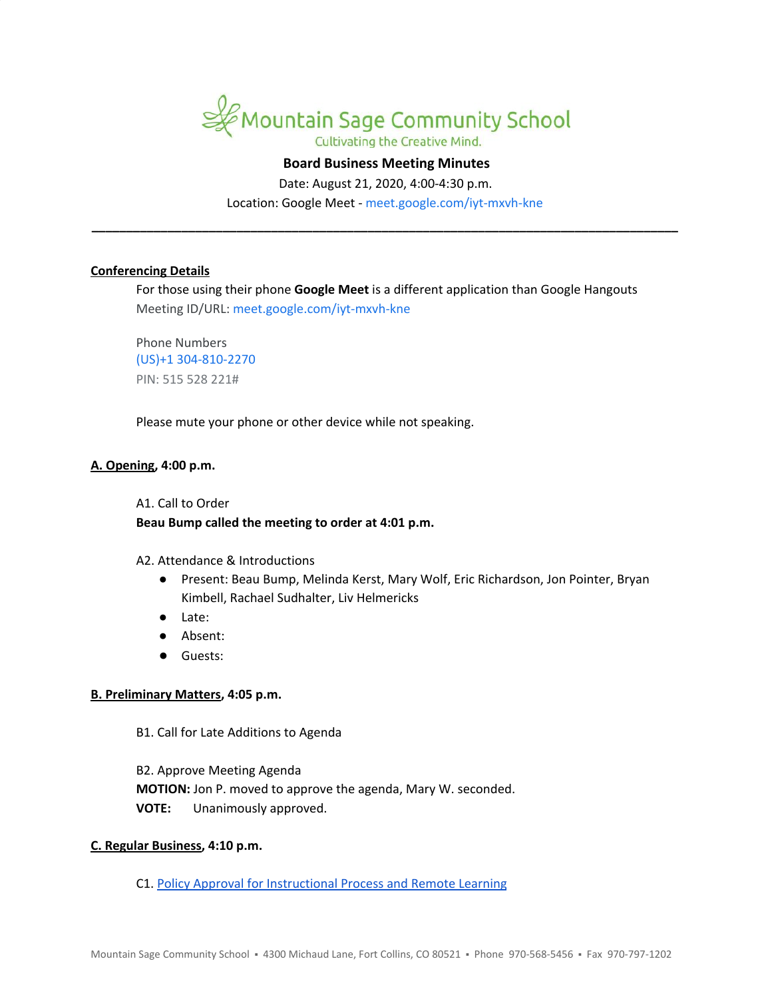

# **Board Business Meeting Minutes**

Date: August 21, 2020, 4:00-4:30 p.m. Location: Google Meet - [meet.google.com/iyt-mxvh-kne](https://meet.google.com/iyt-mxvh-kne?hs=122&authuser=1)

**\_\_\_\_\_\_\_\_\_\_\_\_\_\_\_\_\_\_\_\_\_\_\_\_\_\_\_\_\_\_\_\_\_\_\_\_\_\_\_\_\_\_\_\_\_\_\_\_\_\_\_\_\_\_\_\_\_\_\_\_\_\_\_\_\_\_\_\_\_\_\_\_\_\_\_\_\_\_\_\_\_\_\_\_\_**

## **Conferencing Details**

For those using their phone **Google Meet** is a different application than Google Hangouts Meeting ID/URL: [meet.google.com/iyt-mxvh-kne](https://meet.google.com/iyt-mxvh-kne?hs=122&authuser=1)

Phone Numbers (US)+1 304-810-2270 PIN: 515 528 221#

Please mute your phone or other device while not speaking.

### **A. Opening, 4:00 p.m.**

A1. Call to Order

## **Beau Bump called the meeting to order at 4:01 p.m.**

#### A2. Attendance & Introductions

- Present: Beau Bump, Melinda Kerst, Mary Wolf, Eric Richardson, Jon Pointer, Bryan Kimbell, Rachael Sudhalter, Liv Helmericks
- Late:
- Absent:
- Guests:

## **B. Preliminary Matters, 4:05 p.m.**

B1. Call for Late Additions to Agenda

B2. Approve Meeting Agenda **MOTION:** Jon P. moved to approve the agenda, Mary W. seconded. **VOTE:** Unanimously approved.

## **C. Regular Business, 4:10 p.m.**

C1. Policy Approval for [Instructional](https://docs.google.com/document/d/1qxsgVO7Bpbs5UEQkH0nGeYfZ5MSFe4DTYx_YiBjPwJA/edit?usp=sharing) Process and Remote Learning